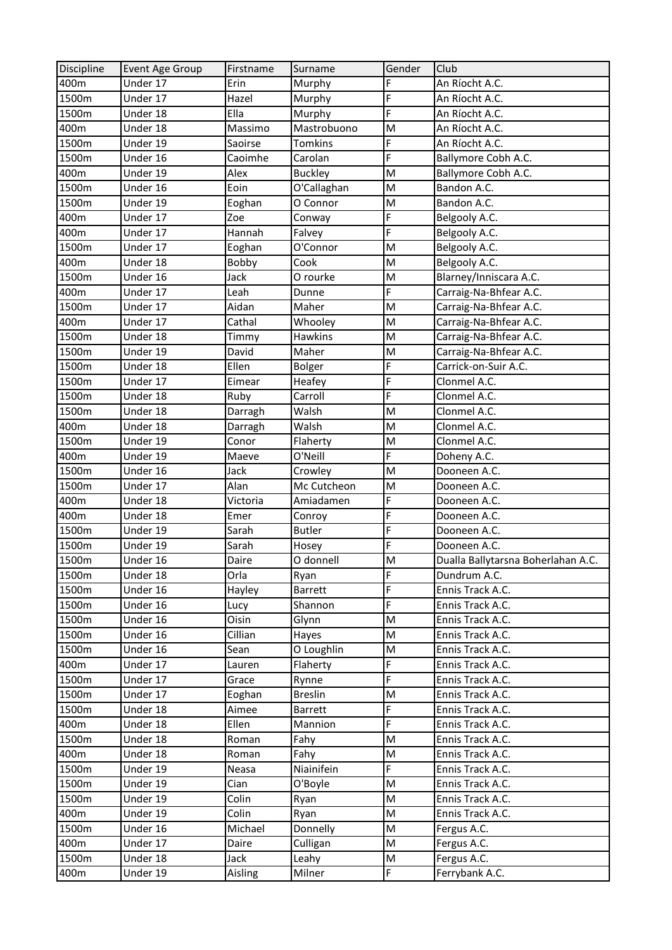| Discipline | Event Age Group | Firstname | Surname        | Gender | Club                               |
|------------|-----------------|-----------|----------------|--------|------------------------------------|
| 400m       | Under 17        | Erin      | Murphy         | F      | An Ríocht A.C.                     |
| 1500m      | Under 17        | Hazel     | Murphy         | F      | An Ríocht A.C.                     |
| 1500m      | Under 18        | Ella      | Murphy         | F      | An Ríocht A.C.                     |
| 400m       | Under 18        | Massimo   | Mastrobuono    | M      | An Ríocht A.C.                     |
| 1500m      | Under 19        | Saoirse   | <b>Tomkins</b> | F      | An Ríocht A.C.                     |
| 1500m      | Under 16        | Caoimhe   | Carolan        | F      | Ballymore Cobh A.C.                |
| 400m       | Under 19        | Alex      | <b>Buckley</b> | M      | Ballymore Cobh A.C.                |
| 1500m      | Under 16        | Eoin      | O'Callaghan    | M      | Bandon A.C.                        |
| 1500m      | Under 19        | Eoghan    | O Connor       | M      | Bandon A.C.                        |
| 400m       | Under 17        | Zoe       | Conway         | F      | Belgooly A.C.                      |
| 400m       | Under 17        | Hannah    | Falvey         | F      | Belgooly A.C.                      |
| 1500m      | Under 17        | Eoghan    | O'Connor       | M      | Belgooly A.C.                      |
| 400m       | Under 18        | Bobby     | Cook           | M      | Belgooly A.C.                      |
| 1500m      | Under 16        | Jack      | O rourke       | M      | Blarney/Inniscara A.C.             |
| 400m       | Under 17        | Leah      | Dunne          | F      | Carraig-Na-Bhfear A.C.             |
| 1500m      | Under 17        | Aidan     | Maher          | M      | Carraig-Na-Bhfear A.C.             |
| 400m       | Under 17        | Cathal    | Whooley        | M      | Carraig-Na-Bhfear A.C.             |
| 1500m      | Under 18        | Timmy     | <b>Hawkins</b> | M      | Carraig-Na-Bhfear A.C.             |
| 1500m      | Under 19        | David     | Maher          | M      | Carraig-Na-Bhfear A.C.             |
| 1500m      | Under 18        | Ellen     | <b>Bolger</b>  | F      | Carrick-on-Suir A.C.               |
| 1500m      | Under 17        | Eimear    | Heafey         | F      | Clonmel A.C.                       |
| 1500m      | Under 18        | Ruby      | Carroll        | F      | Clonmel A.C.                       |
| 1500m      | Under 18        | Darragh   | Walsh          | M      | Clonmel A.C.                       |
| 400m       | Under 18        | Darragh   | Walsh          | M      | Clonmel A.C.                       |
| 1500m      | Under 19        | Conor     | Flaherty       | M      | Clonmel A.C.                       |
| 400m       | Under 19        | Maeve     | O'Neill        | F      | Doheny A.C.                        |
| 1500m      | Under 16        | Jack      | Crowley        | M      | Dooneen A.C.                       |
| 1500m      | Under 17        | Alan      | Mc Cutcheon    | M      | Dooneen A.C.                       |
| 400m       | Under 18        | Victoria  | Amiadamen      | F      | Dooneen A.C.                       |
| 400m       | Under 18        | Emer      | Conroy         | F      | Dooneen A.C.                       |
| 1500m      | Under 19        | Sarah     | <b>Butler</b>  | F      | Dooneen A.C.                       |
| 1500m      | Under 19        | Sarah     | Hosey          | F      | Dooneen A.C.                       |
| 1500m      | Under 16        | Daire     | O donnell      | M      | Dualla Ballytarsna Boherlahan A.C. |
| 1500m      | Under 18        | Orla      | Ryan           | F      | Dundrum A.C.                       |
| 1500m      | Under 16        | Hayley    | <b>Barrett</b> | F      | Ennis Track A.C.                   |
| 1500m      | Under 16        | Lucy      | Shannon        | F      | Ennis Track A.C.                   |
| 1500m      | Under 16        | Oisin     | Glynn          | M      | Ennis Track A.C.                   |
| 1500m      | Under 16        | Cillian   | Hayes          | M      | Ennis Track A.C.                   |
| 1500m      | Under 16        | Sean      | O Loughlin     | M      | Ennis Track A.C.                   |
| 400m       | Under 17        | Lauren    | Flaherty       | F      | Ennis Track A.C.                   |
| 1500m      | Under 17        | Grace     | Rynne          | F      | Ennis Track A.C.                   |
| 1500m      | Under 17        | Eoghan    | <b>Breslin</b> | M      | Ennis Track A.C.                   |
| 1500m      | Under 18        | Aimee     | <b>Barrett</b> | F      | Ennis Track A.C.                   |
| 400m       | Under 18        | Ellen     | Mannion        | F      | Ennis Track A.C.                   |
| 1500m      | Under 18        | Roman     | Fahy           | M      | Ennis Track A.C.                   |
| 400m       | Under 18        | Roman     | Fahy           | M      | Ennis Track A.C.                   |
| 1500m      | Under 19        | Neasa     | Niainifein     | F      | Ennis Track A.C.                   |
| 1500m      | Under 19        | Cian      | O'Boyle        | M      | Ennis Track A.C.                   |
| 1500m      | Under 19        | Colin     | Ryan           | M      | Ennis Track A.C.                   |
| 400m       | Under 19        | Colin     | Ryan           | M      | Ennis Track A.C.                   |
| 1500m      | Under 16        | Michael   | Donnelly       | M      | Fergus A.C.                        |
| 400m       | Under 17        | Daire     | Culligan       | M      | Fergus A.C.                        |
| 1500m      | Under 18        | Jack      | Leahy          | M      | Fergus A.C.                        |
| 400m       | Under 19        | Aisling   | Milner         | F      | Ferrybank A.C.                     |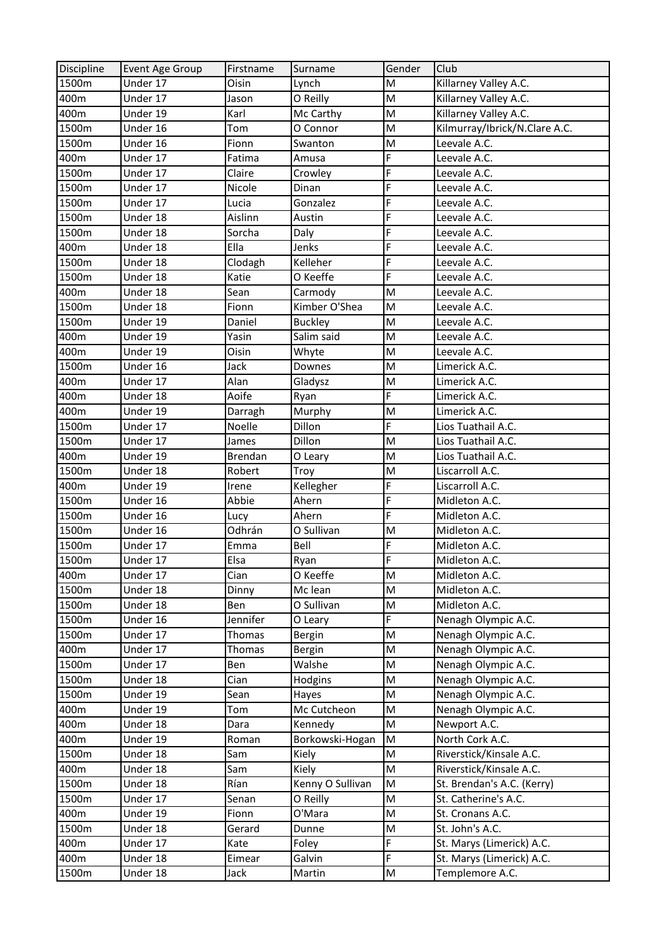| Discipline | Event Age Group | Firstname    | Surname          | Gender | Club                          |
|------------|-----------------|--------------|------------------|--------|-------------------------------|
| 1500m      | Under 17        | <b>Oisin</b> | Lynch            | M      | Killarney Valley A.C.         |
| 400m       | Under 17        | Jason        | O Reilly         | M      | Killarney Valley A.C.         |
| 400m       | Under 19        | Karl         | Mc Carthy        | M      | Killarney Valley A.C.         |
| 1500m      | Under 16        | Tom          | O Connor         | M      | Kilmurray/Ibrick/N.Clare A.C. |
| 1500m      | Under 16        | Fionn        | Swanton          | M      | Leevale A.C.                  |
| 400m       | Under 17        | Fatima       | Amusa            | F      | Leevale A.C.                  |
| 1500m      | Under 17        | Claire       | Crowley          | F      | Leevale A.C.                  |
| 1500m      | Under 17        | Nicole       | Dinan            | F      | Leevale A.C.                  |
| 1500m      | Under 17        | Lucia        | Gonzalez         | F      | Leevale A.C.                  |
| 1500m      | Under 18        | Aislinn      | Austin           | F      | Leevale A.C.                  |
| 1500m      | Under 18        | Sorcha       | Daly             | F      | Leevale A.C.                  |
| 400m       | Under 18        | Ella         | Jenks            | F      | Leevale A.C.                  |
| 1500m      | Under 18        | Clodagh      | Kelleher         | F      | Leevale A.C.                  |
| 1500m      | Under 18        | Katie        | O Keeffe         | F      | Leevale A.C.                  |
| 400m       | Under 18        | Sean         | Carmody          | M      | Leevale A.C.                  |
| 1500m      | Under 18        | Fionn        | Kimber O'Shea    | M      | Leevale A.C.                  |
| 1500m      | Under 19        | Daniel       | <b>Buckley</b>   | M      | Leevale A.C.                  |
| 400m       | Under 19        | Yasin        | Salim said       | M      | Leevale A.C.                  |
| 400m       | Under 19        | Oisin        | Whyte            | M      | Leevale A.C.                  |
| 1500m      | Under 16        | Jack         | Downes           | M      | Limerick A.C.                 |
| 400m       | Under 17        | Alan         | Gladysz          | M      | Limerick A.C.                 |
| 400m       | Under 18        | Aoife        | Ryan             | F      | Limerick A.C.                 |
| 400m       | Under 19        | Darragh      | Murphy           | M      | Limerick A.C.                 |
| 1500m      | Under 17        | Noelle       | Dillon           | F      | Lios Tuathail A.C.            |
| 1500m      | Under 17        | James        | Dillon           | M      | Lios Tuathail A.C.            |
| 400m       | Under 19        | Brendan      | O Leary          | M      | Lios Tuathail A.C.            |
| 1500m      | Under 18        | Robert       | Troy             | M      | Liscarroll A.C.               |
| 400m       | Under 19        | Irene        | Kellegher        | F      | Liscarroll A.C.               |
| 1500m      | Under 16        | Abbie        | Ahern            | F      | Midleton A.C.                 |
| 1500m      | Under 16        | Lucy         | Ahern            | F      | Midleton A.C.                 |
| 1500m      | Under 16        | Odhrán       | O Sullivan       | M      | Midleton A.C.                 |
| 1500m      | Under 17        | Emma         | Bell             | F      | Midleton A.C.                 |
| 1500m      | Under 17        | Elsa         | Ryan             | F      | Midleton A.C.                 |
| 400m       | Under 17        | Cian         | O Keeffe         | M      | Midleton A.C.                 |
| 1500m      | Under 18        | Dinny        | Mc lean          | M      | Midleton A.C.                 |
| 1500m      | Under 18        | Ben          | O Sullivan       | M      | Midleton A.C.                 |
| 1500m      | Under 16        | Jennifer     | O Leary          | F      | Nenagh Olympic A.C.           |
| 1500m      | Under 17        | Thomas       | Bergin           | M      | Nenagh Olympic A.C.           |
| 400m       | Under 17        | Thomas       | Bergin           | M      | Nenagh Olympic A.C.           |
| 1500m      | Under 17        | Ben          | Walshe           | M      | Nenagh Olympic A.C.           |
| 1500m      | Under 18        | Cian         | Hodgins          | M      | Nenagh Olympic A.C.           |
| 1500m      | Under 19        | Sean         | Hayes            | M      | Nenagh Olympic A.C.           |
| 400m       | Under 19        | Tom          | Mc Cutcheon      | M      | Nenagh Olympic A.C.           |
| 400m       | Under 18        | Dara         | Kennedy          | M      | Newport A.C.                  |
| 400m       | Under 19        | Roman        | Borkowski-Hogan  | M      | North Cork A.C.               |
| 1500m      | Under 18        | Sam          | Kiely            | М      | Riverstick/Kinsale A.C.       |
| 400m       | Under 18        | Sam          | Kiely            | M      | Riverstick/Kinsale A.C.       |
| 1500m      | Under 18        | Rían         | Kenny O Sullivan | M      | St. Brendan's A.C. (Kerry)    |
| 1500m      | Under 17        | Senan        | O Reilly         | M      | St. Catherine's A.C.          |
| 400m       | Under 19        | Fionn        | O'Mara           | M      | St. Cronans A.C.              |
| 1500m      | Under 18        | Gerard       | Dunne            | M      | St. John's A.C.               |
| 400m       | Under 17        | Kate         | Foley            | F      | St. Marys (Limerick) A.C.     |
| 400m       | Under 18        | Eimear       | Galvin           | F      | St. Marys (Limerick) A.C.     |
| 1500m      | Under 18        | Jack         | Martin           | M      | Templemore A.C.               |